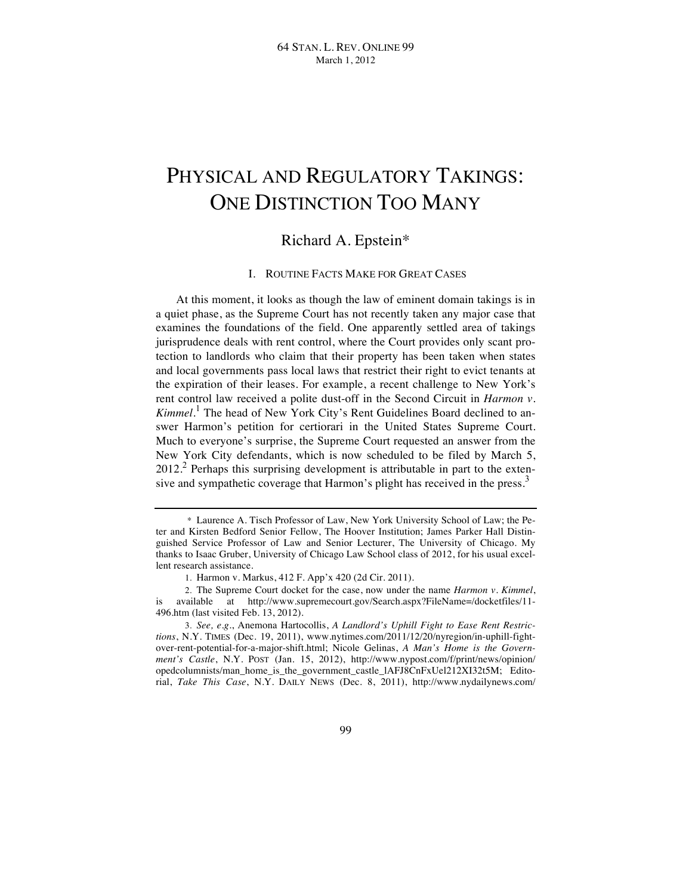# PHYSICAL AND REGULATORY TAKINGS: ONE DISTINCTION TOO MANY

# Richard A. Epstein\*

# I. ROUTINE FACTS MAKE FOR GREAT CASES

At this moment, it looks as though the law of eminent domain takings is in a quiet phase, as the Supreme Court has not recently taken any major case that examines the foundations of the field. One apparently settled area of takings jurisprudence deals with rent control, where the Court provides only scant protection to landlords who claim that their property has been taken when states and local governments pass local laws that restrict their right to evict tenants at the expiration of their leases. For example, a recent challenge to New York's rent control law received a polite dust-off in the Second Circuit in *Harmon v. Kimmel*. 1 The head of New York City's Rent Guidelines Board declined to answer Harmon's petition for certiorari in the United States Supreme Court. Much to everyone's surprise, the Supreme Court requested an answer from the New York City defendants, which is now scheduled to be filed by March 5,  $2012<sup>2</sup>$  Perhaps this surprising development is attributable in part to the extensive and sympathetic coverage that Harmon's plight has received in the press.<sup>3</sup>

<sup>\*</sup> Laurence A. Tisch Professor of Law, New York University School of Law; the Peter and Kirsten Bedford Senior Fellow, The Hoover Institution; James Parker Hall Distinguished Service Professor of Law and Senior Lecturer, The University of Chicago. My thanks to Isaac Gruber, University of Chicago Law School class of 2012, for his usual excellent research assistance.

<sup>1.</sup> Harmon v. Markus, 412 F. App'x 420 (2d Cir. 2011).

<sup>2.</sup> The Supreme Court docket for the case, now under the name *Harmon v. Kimmel*, is available at http://www.supremecourt.gov/Search.aspx?FileName=/docketfiles/11-496.htm (last visited Feb. 13, 2012).

<sup>3.</sup> *See, e.g.*, Anemona Hartocollis, *A Landlord's Uphill Fight to Ease Rent Restrictions*, N.Y. TIMES (Dec. 19, 2011), www.nytimes.com/2011/12/20/nyregion/in-uphill-fightover-rent-potential-for-a-major-shift.html; Nicole Gelinas, *A Man's Home is the Government's Castle*, N.Y. POST (Jan. 15, 2012), http://www.nypost.com/f/print/news/opinion/ opedcolumnists/man\_home\_is\_the\_government\_castle\_lAFJ8CnFxUel212XI32t5M; Editorial, *Take This Case*, N.Y. DAILY NEWS (Dec. 8, 2011), http://www.nydailynews.com/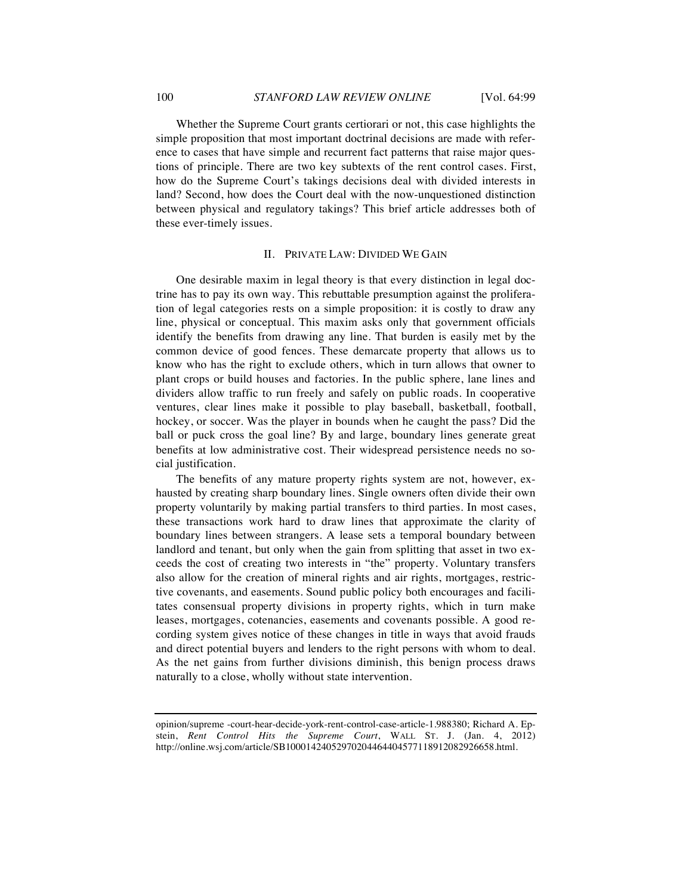Whether the Supreme Court grants certiorari or not, this case highlights the simple proposition that most important doctrinal decisions are made with reference to cases that have simple and recurrent fact patterns that raise major questions of principle. There are two key subtexts of the rent control cases. First, how do the Supreme Court's takings decisions deal with divided interests in land? Second, how does the Court deal with the now-unquestioned distinction between physical and regulatory takings? This brief article addresses both of these ever-timely issues.

# II. PRIVATE LAW: DIVIDED WE GAIN

One desirable maxim in legal theory is that every distinction in legal doctrine has to pay its own way. This rebuttable presumption against the proliferation of legal categories rests on a simple proposition: it is costly to draw any line, physical or conceptual. This maxim asks only that government officials identify the benefits from drawing any line. That burden is easily met by the common device of good fences. These demarcate property that allows us to know who has the right to exclude others, which in turn allows that owner to plant crops or build houses and factories. In the public sphere, lane lines and dividers allow traffic to run freely and safely on public roads. In cooperative ventures, clear lines make it possible to play baseball, basketball, football, hockey, or soccer. Was the player in bounds when he caught the pass? Did the ball or puck cross the goal line? By and large, boundary lines generate great benefits at low administrative cost. Their widespread persistence needs no social justification.

The benefits of any mature property rights system are not, however, exhausted by creating sharp boundary lines. Single owners often divide their own property voluntarily by making partial transfers to third parties. In most cases, these transactions work hard to draw lines that approximate the clarity of boundary lines between strangers. A lease sets a temporal boundary between landlord and tenant, but only when the gain from splitting that asset in two exceeds the cost of creating two interests in "the" property. Voluntary transfers also allow for the creation of mineral rights and air rights, mortgages, restrictive covenants, and easements. Sound public policy both encourages and facilitates consensual property divisions in property rights, which in turn make leases, mortgages, cotenancies, easements and covenants possible. A good recording system gives notice of these changes in title in ways that avoid frauds and direct potential buyers and lenders to the right persons with whom to deal. As the net gains from further divisions diminish, this benign process draws naturally to a close, wholly without state intervention.

opinion/supreme -court-hear-decide-york-rent-control-case-article-1.988380; Richard A. Epstein, *Rent Control Hits the Supreme Court*, WALL ST. J. (Jan. 4, 2012) http://online.wsj.com/article/SB10001424052970204464404577118912082926658.html.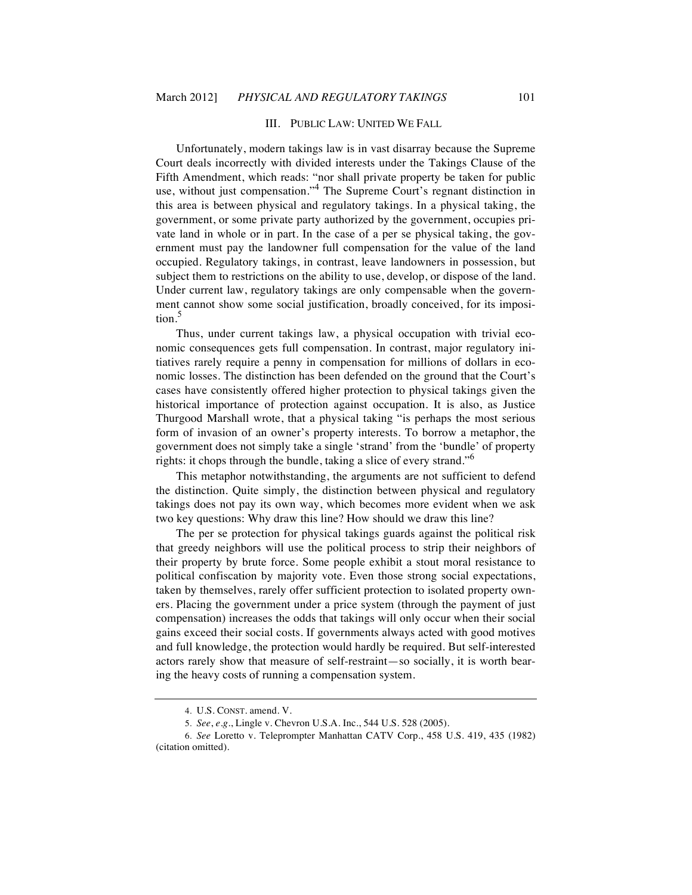# III. PUBLIC LAW: UNITED WE FALL

Unfortunately, modern takings law is in vast disarray because the Supreme Court deals incorrectly with divided interests under the Takings Clause of the Fifth Amendment, which reads: "nor shall private property be taken for public use, without just compensation."<sup>4</sup> The Supreme Court's regnant distinction in this area is between physical and regulatory takings. In a physical taking, the government, or some private party authorized by the government, occupies private land in whole or in part. In the case of a per se physical taking, the government must pay the landowner full compensation for the value of the land occupied. Regulatory takings, in contrast, leave landowners in possession, but subject them to restrictions on the ability to use, develop, or dispose of the land. Under current law, regulatory takings are only compensable when the government cannot show some social justification, broadly conceived, for its imposition.<sup>5</sup>

Thus, under current takings law, a physical occupation with trivial economic consequences gets full compensation. In contrast, major regulatory initiatives rarely require a penny in compensation for millions of dollars in economic losses. The distinction has been defended on the ground that the Court's cases have consistently offered higher protection to physical takings given the historical importance of protection against occupation. It is also, as Justice Thurgood Marshall wrote, that a physical taking "is perhaps the most serious form of invasion of an owner's property interests. To borrow a metaphor, the government does not simply take a single 'strand' from the 'bundle' of property rights: it chops through the bundle, taking a slice of every strand."<sup>6</sup>

This metaphor notwithstanding, the arguments are not sufficient to defend the distinction. Quite simply, the distinction between physical and regulatory takings does not pay its own way, which becomes more evident when we ask two key questions: Why draw this line? How should we draw this line?

The per se protection for physical takings guards against the political risk that greedy neighbors will use the political process to strip their neighbors of their property by brute force. Some people exhibit a stout moral resistance to political confiscation by majority vote. Even those strong social expectations, taken by themselves, rarely offer sufficient protection to isolated property owners. Placing the government under a price system (through the payment of just compensation) increases the odds that takings will only occur when their social gains exceed their social costs. If governments always acted with good motives and full knowledge, the protection would hardly be required. But self-interested actors rarely show that measure of self-restraint—so socially, it is worth bearing the heavy costs of running a compensation system.

<sup>4.</sup> U.S. CONST. amend. V.

<sup>5.</sup> *See*, *e.g.*, Lingle v. Chevron U.S.A. Inc., 544 U.S. 528 (2005).

<sup>6.</sup> *See* Loretto v. Teleprompter Manhattan CATV Corp., 458 U.S. 419, 435 (1982) (citation omitted).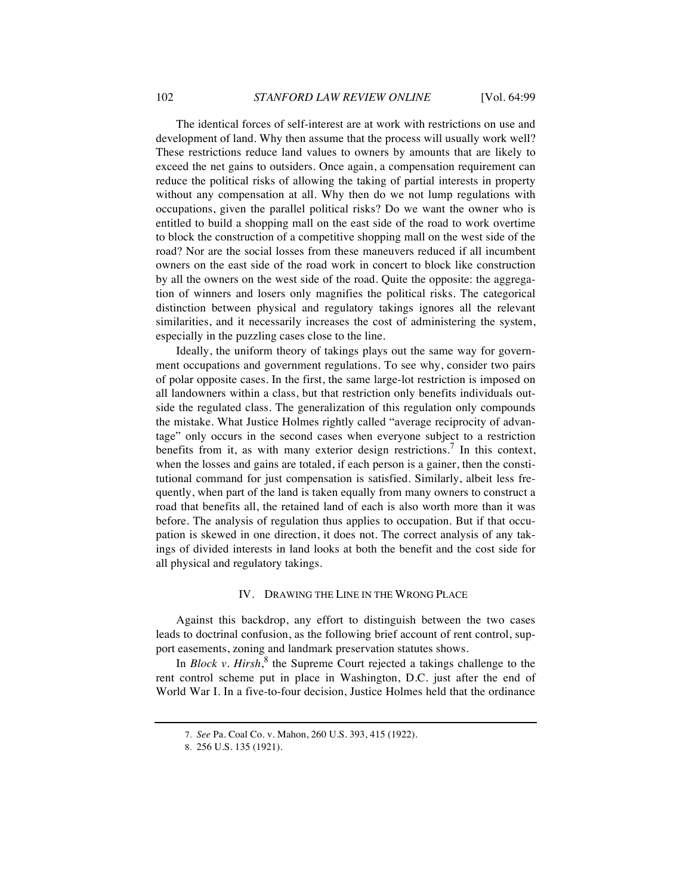The identical forces of self-interest are at work with restrictions on use and development of land. Why then assume that the process will usually work well? These restrictions reduce land values to owners by amounts that are likely to exceed the net gains to outsiders. Once again, a compensation requirement can reduce the political risks of allowing the taking of partial interests in property without any compensation at all. Why then do we not lump regulations with occupations, given the parallel political risks? Do we want the owner who is entitled to build a shopping mall on the east side of the road to work overtime to block the construction of a competitive shopping mall on the west side of the road? Nor are the social losses from these maneuvers reduced if all incumbent owners on the east side of the road work in concert to block like construction by all the owners on the west side of the road. Quite the opposite: the aggregation of winners and losers only magnifies the political risks. The categorical distinction between physical and regulatory takings ignores all the relevant similarities, and it necessarily increases the cost of administering the system, especially in the puzzling cases close to the line.

Ideally, the uniform theory of takings plays out the same way for government occupations and government regulations. To see why, consider two pairs of polar opposite cases. In the first, the same large-lot restriction is imposed on all landowners within a class, but that restriction only benefits individuals outside the regulated class. The generalization of this regulation only compounds the mistake. What Justice Holmes rightly called "average reciprocity of advantage" only occurs in the second cases when everyone subject to a restriction benefits from it, as with many exterior design restrictions.<sup>7</sup> In this context, when the losses and gains are totaled, if each person is a gainer, then the constitutional command for just compensation is satisfied. Similarly, albeit less frequently, when part of the land is taken equally from many owners to construct a road that benefits all, the retained land of each is also worth more than it was before. The analysis of regulation thus applies to occupation. But if that occupation is skewed in one direction, it does not. The correct analysis of any takings of divided interests in land looks at both the benefit and the cost side for all physical and regulatory takings.

#### IV. DRAWING THE LINE IN THE WRONG PLACE

Against this backdrop, any effort to distinguish between the two cases leads to doctrinal confusion, as the following brief account of rent control, support easements, zoning and landmark preservation statutes shows.

In *Block v. Hirsh*,<sup>8</sup> the Supreme Court rejected a takings challenge to the rent control scheme put in place in Washington, D.C. just after the end of World War I. In a five-to-four decision, Justice Holmes held that the ordinance

<sup>7.</sup> *See* Pa. Coal Co. v. Mahon, 260 U.S. 393, 415 (1922).

<sup>8.</sup> 256 U.S. 135 (1921).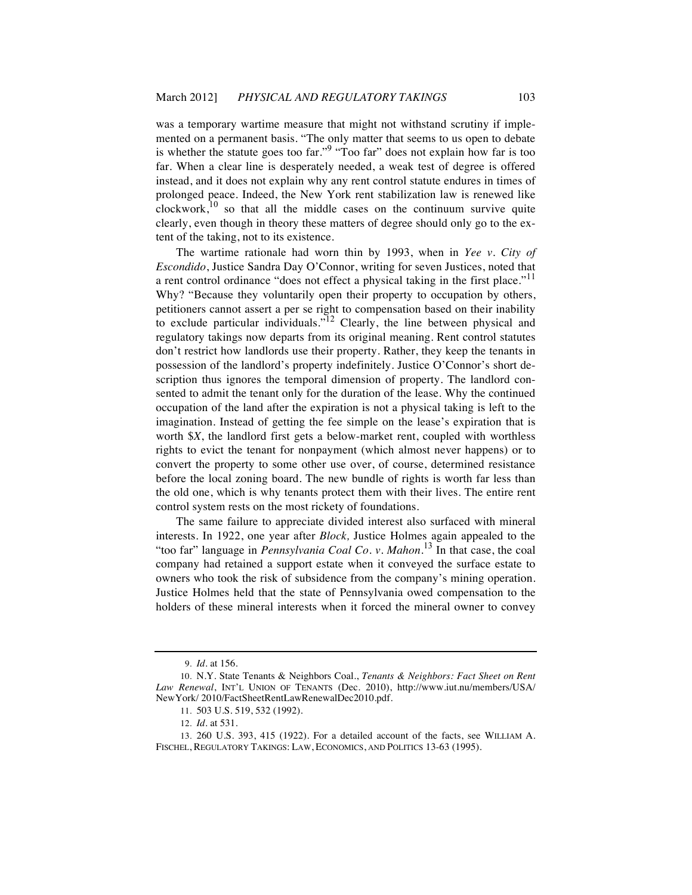was a temporary wartime measure that might not withstand scrutiny if implemented on a permanent basis. "The only matter that seems to us open to debate is whether the statute goes too far."<sup>9</sup> "Too far" does not explain how far is too far. When a clear line is desperately needed, a weak test of degree is offered instead, and it does not explain why any rent control statute endures in times of prolonged peace. Indeed, the New York rent stabilization law is renewed like  $clockwork$ ,<sup>10</sup> so that all the middle cases on the continuum survive quite clearly, even though in theory these matters of degree should only go to the extent of the taking, not to its existence.

The wartime rationale had worn thin by 1993, when in *Yee v. City of Escondido*, Justice Sandra Day O'Connor, writing for seven Justices, noted that a rent control ordinance "does not effect a physical taking in the first place."<sup>11</sup> Why? "Because they voluntarily open their property to occupation by others, petitioners cannot assert a per se right to compensation based on their inability to exclude particular individuals.<sup>512</sup> Clearly, the line between physical and regulatory takings now departs from its original meaning. Rent control statutes don't restrict how landlords use their property. Rather, they keep the tenants in possession of the landlord's property indefinitely. Justice O'Connor's short description thus ignores the temporal dimension of property. The landlord consented to admit the tenant only for the duration of the lease. Why the continued occupation of the land after the expiration is not a physical taking is left to the imagination. Instead of getting the fee simple on the lease's expiration that is worth \$*X*, the landlord first gets a below-market rent, coupled with worthless rights to evict the tenant for nonpayment (which almost never happens) or to convert the property to some other use over, of course, determined resistance before the local zoning board. The new bundle of rights is worth far less than the old one, which is why tenants protect them with their lives. The entire rent control system rests on the most rickety of foundations.

The same failure to appreciate divided interest also surfaced with mineral interests. In 1922, one year after *Block,* Justice Holmes again appealed to the "too far" language in *Pennsylvania Coal Co. v. Mahon*.<sup>13</sup> In that case, the coal company had retained a support estate when it conveyed the surface estate to owners who took the risk of subsidence from the company's mining operation. Justice Holmes held that the state of Pennsylvania owed compensation to the holders of these mineral interests when it forced the mineral owner to convey

<sup>9.</sup> *Id.* at 156.

<sup>10.</sup> N.Y. State Tenants & Neighbors Coal., *Tenants & Neighbors: Fact Sheet on Rent Law Renewal*, INT'L UNION OF TENANTS (Dec. 2010), http://www.iut.nu/members/USA/ NewYork/ 2010/FactSheetRentLawRenewalDec2010.pdf.

<sup>11.</sup> 503 U.S. 519, 532 (1992).

<sup>12.</sup> *Id.* at 531.

<sup>13.</sup> 260 U.S. 393, 415 (1922). For a detailed account of the facts, see WILLIAM A. FISCHEL, REGULATORY TAKINGS: LAW, ECONOMICS, AND POLITICS 13-63 (1995).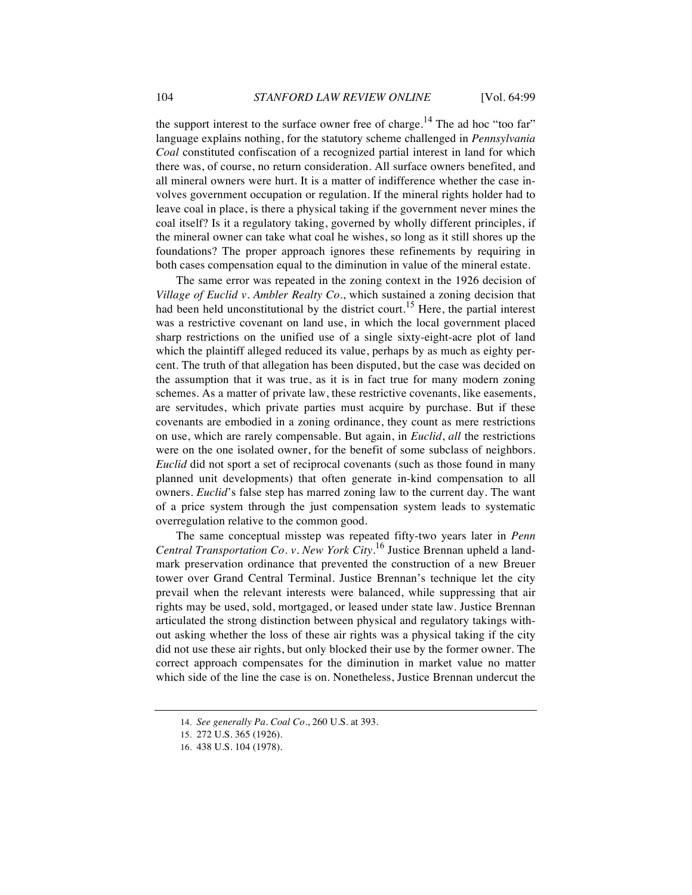the support interest to the surface owner free of charge.<sup>14</sup> The ad hoc "too far" language explains nothing, for the statutory scheme challenged in *Pennsylvania Coal* constituted confiscation of a recognized partial interest in land for which there was, of course, no return consideration. All surface owners benefited, and all mineral owners were hurt. It is a matter of indifference whether the case involves government occupation or regulation. If the mineral rights holder had to leave coal in place, is there a physical taking if the government never mines the coal itself? Is it a regulatory taking, governed by wholly different principles, if the mineral owner can take what coal he wishes, so long as it still shores up the foundations? The proper approach ignores these refinements by requiring in both cases compensation equal to the diminution in value of the mineral estate.

The same error was repeated in the zoning context in the 1926 decision of *Village of Euclid v. Ambler Realty Co*., which sustained a zoning decision that had been held unconstitutional by the district court.<sup>15</sup> Here, the partial interest was a restrictive covenant on land use, in which the local government placed sharp restrictions on the unified use of a single sixty-eight-acre plot of land which the plaintiff alleged reduced its value, perhaps by as much as eighty percent. The truth of that allegation has been disputed, but the case was decided on the assumption that it was true, as it is in fact true for many modern zoning schemes. As a matter of private law, these restrictive covenants, like easements, are servitudes, which private parties must acquire by purchase. But if these covenants are embodied in a zoning ordinance, they count as mere restrictions on use, which are rarely compensable. But again, in *Euclid*, *all* the restrictions were on the one isolated owner, for the benefit of some subclass of neighbors. *Euclid* did not sport a set of reciprocal covenants (such as those found in many planned unit developments) that often generate in-kind compensation to all owners. *Euclid*'s false step has marred zoning law to the current day. The want of a price system through the just compensation system leads to systematic overregulation relative to the common good.

The same conceptual misstep was repeated fifty-two years later in *Penn Central Transportation Co. v. New York City*. <sup>16</sup> Justice Brennan upheld a landmark preservation ordinance that prevented the construction of a new Breuer tower over Grand Central Terminal. Justice Brennan's technique let the city prevail when the relevant interests were balanced, while suppressing that air rights may be used, sold, mortgaged, or leased under state law. Justice Brennan articulated the strong distinction between physical and regulatory takings without asking whether the loss of these air rights was a physical taking if the city did not use these air rights, but only blocked their use by the former owner. The correct approach compensates for the diminution in market value no matter which side of the line the case is on. Nonetheless, Justice Brennan undercut the

<sup>14.</sup> *See generally Pa. Coal Co.*, 260 U.S. at 393.

<sup>15.</sup> 272 U.S. 365 (1926).

<sup>16.</sup> 438 U.S. 104 (1978).